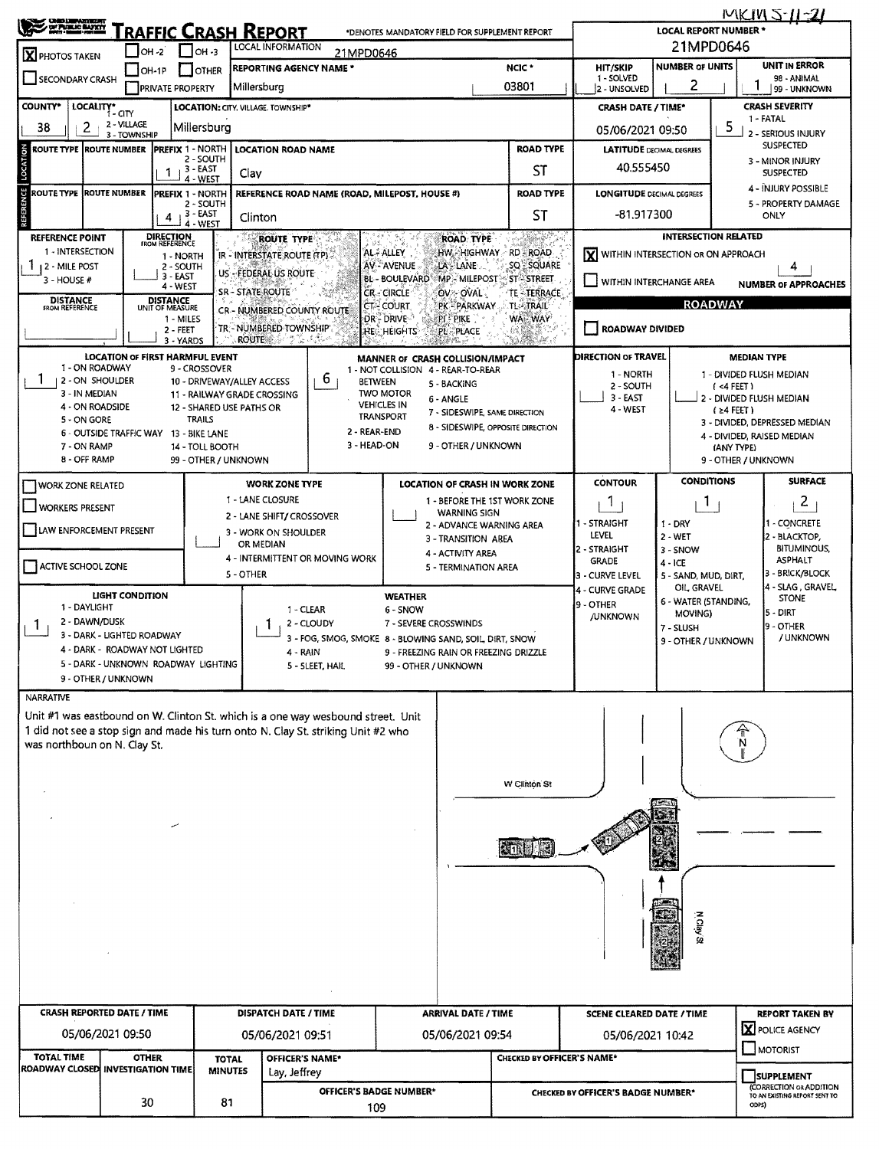| <b>UNID LINE NATIONAL</b>                              |                                                              |                                           |                                | [raffic Crash Report                                       |                                                                                                                                                                       |                                                                        |                                                                       |                                   |                                           | <b>LOCAL REPORT NUMBER *</b>       |                                                | $MKNS-H-2I$                                                 |
|--------------------------------------------------------|--------------------------------------------------------------|-------------------------------------------|--------------------------------|------------------------------------------------------------|-----------------------------------------------------------------------------------------------------------------------------------------------------------------------|------------------------------------------------------------------------|-----------------------------------------------------------------------|-----------------------------------|-------------------------------------------|------------------------------------|------------------------------------------------|-------------------------------------------------------------|
| <b>X</b> PHOTOS TAKEN                                  |                                                              | $OH - 2$                                  | $\Box$ OH -3                   | LOCAL INFORMATION                                          | 21MPD0646                                                                                                                                                             | *DENOTES MANDATORY FIELD FOR SUPPLEMENT REPORT                         |                                                                       |                                   |                                           |                                    | 21MPD0646                                      |                                                             |
|                                                        |                                                              | $LOH-1P$                                  | <b>JOTHER</b>                  | <b>REPORTING AGENCY NAME *</b>                             |                                                                                                                                                                       |                                                                        |                                                                       | NCIC <sup>+</sup>                 | HIT/SKIP                                  | <b>NUMBER OF UNITS</b>             |                                                | UNIT IN ERROR                                               |
| SECONDARY CRASH                                        |                                                              | <b>PRIVATE PROPERTY</b>                   |                                | Millersburg                                                |                                                                                                                                                                       |                                                                        |                                                                       | 03801                             | 1 - SOLVED<br>2 - UNSOLVED                | 2                                  |                                                | 98 - ANIMAL<br>99 - UNKNOWN                                 |
| <b>COUNTY*</b>                                         | LOCALITY* CITY                                               |                                           |                                | LOCATION: CITY, VILLAGE, TOWNSHIP*                         |                                                                                                                                                                       |                                                                        |                                                                       |                                   | <b>CRASH DATE / TIME*</b>                 |                                    |                                                | <b>CRASH SEVERITY</b><br>1 - FATAL                          |
| 2<br>38                                                | 2 - VILLAGE<br>3 - TOWNSHIP                                  |                                           | Millersburg                    |                                                            |                                                                                                                                                                       |                                                                        |                                                                       |                                   | 05/06/2021 09:50                          |                                    | 5                                              | 2 - SERIOUS INJURY                                          |
| <b>ROUTE TYPE ROUTE NUMBER</b>                         |                                                              | <b>PREFIX 1 - NORTH</b>                   | 2 - SOUTH                      | <b>LOCATION ROAD NAME</b>                                  |                                                                                                                                                                       |                                                                        |                                                                       | <b>ROAD TYPE</b>                  | <b>LATITUDE</b> DECIMAL DEGREES           |                                    |                                                | <b>SUSPECTED</b><br>3 - MINOR INJURY                        |
| LOCATION                                               |                                                              | $1 + 3 - EAST$                            | 4 - WEST                       | Clav                                                       |                                                                                                                                                                       |                                                                        |                                                                       | ST                                | 40.555450                                 |                                    |                                                | <b>SUSPECTED</b>                                            |
| <b>ROUTE TYPE</b>                                      | <b>ROUTE NUMBER</b>                                          | <b>PREFIX 1 - NORTH</b>                   | 2 - SOUTH                      |                                                            | REFERENCE ROAD NAME (ROAD, MILEPOST, HOUSE #)                                                                                                                         |                                                                        |                                                                       | <b>ROAD TYPE</b>                  | <b>LONGITUDE DECIMAL DEGREES</b>          |                                    |                                                | 4 - INJURY POSSIBLE<br>5 - PROPERTY DAMAGE                  |
| REFERENCE                                              |                                                              | 4                                         | 3 - EAST<br>4 - WEST           | Clinton                                                    |                                                                                                                                                                       |                                                                        |                                                                       | <b>ST</b>                         | -81.917300                                |                                    |                                                | ONLY                                                        |
| <b>REFERENCE POINT</b>                                 |                                                              | <b>DIRECTION</b><br><b>FROM REFERENCE</b> |                                | <b>ROUTE TYPE</b>                                          |                                                                                                                                                                       |                                                                        | <b>ROAD TYPE</b>                                                      |                                   |                                           |                                    | <b>INTERSECTION RELATED</b>                    |                                                             |
| 1 - INTERSECTION<br>12 - MILE POST                     |                                                              | 1 - NORTH<br>2 - SOUTH                    |                                | IR - INTERSTATE ROUTE (TP)                                 |                                                                                                                                                                       | AL-ALLEY<br>AV - AVENUE                                                | HW - HIGHWAY<br>LA - LANE                                             | RD - ROAD<br>SQ SQUARE            | lxl<br>WITHIN INTERSECTION OR ON APPROACH |                                    |                                                | 4                                                           |
| $3 - HOUSE#$                                           |                                                              | 3 - EAST<br>4 - WEST                      |                                | US - FEDERAL US ROUTE                                      |                                                                                                                                                                       | <b>BL-BOULEVARD</b>                                                    | MP - MILEPOST - ST - STREET                                           |                                   | WITHIN INTERCHANGE AREA                   |                                    |                                                | <b>NUMBER OF APPROACHES</b>                                 |
| <b>DISTANCE</b><br>FROM REFERENCE                      |                                                              | <b>DISTANCE</b><br>UNIT OF MEASURE        |                                | <b>SR - STATE ROUTE</b><br><b>CR-NUMBERED COUNTY ROUTE</b> |                                                                                                                                                                       | <b>CR-CIRCLE</b><br><b>CT- COURT</b>                                   | <b>OV OVAL</b><br>PK-PARKWAY                                          | TE-TERRACE-<br>TL-TRAIL           |                                           |                                    | <b>ROADWAY</b>                                 |                                                             |
|                                                        |                                                              | 1 - MILES<br>$2 - FEET$                   |                                | TR - NUMBERED TOWNSHIP                                     |                                                                                                                                                                       | DR – DRIVE<br>HE HEIGHTS                                               | <b>PIPIKE</b><br>PL PLACE                                             | WA - WAY                          | <b>ROADWAY DIVIDED</b>                    |                                    |                                                |                                                             |
|                                                        |                                                              | 3 - YARDS                                 |                                | <b>ROUTE</b>                                               | 7 23 3                                                                                                                                                                |                                                                        |                                                                       |                                   |                                           |                                    |                                                |                                                             |
|                                                        | <b>LOCATION OF FIRST HARMFUL EVENT</b><br>1 - ON ROADWAY     |                                           | 9 - CROSSOVER                  |                                                            |                                                                                                                                                                       | MANNER OF CRASH COLLISION/IMPACT<br>1 - NOT COLLISION 4 - REAR-TO-REAR |                                                                       |                                   | DIRECTION OF TRAVEL<br>1 - NORTH          |                                    | <b>MEDIAN TYPE</b><br>1 - DIVIDED FLUSH MEDIAN |                                                             |
| -1<br>3 - IN MEDIAN                                    | 2 - ON SHOULDER                                              |                                           |                                | 10 - DRIVEWAY/ALLEY ACCESS<br>11 - RAILWAY GRADE CROSSING  | b<br><b>BETWEEN</b>                                                                                                                                                   | <b>TWO MOTOR</b>                                                       | 5 - BACKING                                                           |                                   | 2 - SOUTH                                 |                                    | $(4$ FEET)                                     |                                                             |
|                                                        | 4 - ON ROADSIDE                                              |                                           | 12 - SHARED USE PATHS OR       |                                                            |                                                                                                                                                                       | <b>VEHICLES IN</b><br>TRANSPORT                                        | 6 - ANGLE<br>7 - SIDESWIPE, SAME DIRECTION                            |                                   | $3 - EAST$<br>4 - WEST                    |                                    | 2 - DIVIDED FLUSH MEDIAN<br>$(24$ FEET)        |                                                             |
| 5 - ON GORE                                            | 6 - OUTSIDE TRAFFIC WAY 13 - BIKE LANE                       |                                           | <b>TRAILS</b>                  |                                                            | 2 - REAR-END                                                                                                                                                          |                                                                        | 8 - SIDESWIPE, OPPOSITE DIRECTION                                     |                                   |                                           |                                    |                                                | 3 - DIVIDED, DEPRESSED MEDIAN<br>4 - DIVIDED, RAISED MEDIAN |
| 7 - ON RAMP<br>8 - OFF RAMP                            |                                                              |                                           | 14 - TOLL BOOTH                |                                                            | 3 - HEAD-ON                                                                                                                                                           |                                                                        | 9 - OTHER / UNKNOWN                                                   |                                   |                                           |                                    | (ANY TYPE)                                     |                                                             |
|                                                        |                                                              |                                           | 99 - OTHER / UNKNOWN           |                                                            |                                                                                                                                                                       |                                                                        |                                                                       |                                   |                                           | <b>CONDITIONS</b>                  | 9 - OTHER / UNKNOWN                            | <b>SURFACE</b>                                              |
| <b>WORK ZONE RELATED</b>                               |                                                              |                                           |                                | <b>WORK ZONE TYPE</b><br>1 - LANE CLOSURE                  |                                                                                                                                                                       |                                                                        | <b>LOCATION OF CRASH IN WORK ZONE</b><br>1 - BEFORE THE 1ST WORK ZONE |                                   | <b>CONTOUR</b><br>1                       | 1.                                 |                                                | $\mathbf{2}$                                                |
| WORKERS PRESENT                                        |                                                              |                                           |                                | 2 - LANE SHIFT/ CROSSOVER                                  |                                                                                                                                                                       |                                                                        | <b>WARNING SIGN</b>                                                   |                                   | 1 STRAIGHT                                | $1 - DRY$                          |                                                | 1 - CONCRETE                                                |
| LAW ENFORCEMENT PRESENT                                |                                                              |                                           |                                | 3 - WORK ON SHOULDER<br>OR MEDIAN                          |                                                                                                                                                                       |                                                                        | 2 - ADVANCE WARNING AREA<br>3 - TRANSITION AREA                       |                                   | LEVEL                                     | $2 - WET$                          |                                                | 2 - BLACKTOP,                                               |
|                                                        |                                                              |                                           |                                |                                                            | 4 - INTERMITTENT OR MOVING WORK                                                                                                                                       |                                                                        | 4 - ACTIVITY AREA                                                     |                                   | 2 - STRAIGHT<br><b>GRADE</b>              | 3 - SNOW<br>$4 - ICE$              |                                                | <b>BITUMINOUS,</b><br><b>ASPHALT</b>                        |
| ACTIVE SCHOOL ZONE                                     |                                                              |                                           |                                | 5 - OTHER                                                  |                                                                                                                                                                       |                                                                        | 5 - TERMINATION AREA                                                  |                                   | 3 - CURVE LEVEL                           | 5 - SAND, MUD, DIRT.               |                                                | 3 - BRICK/BLOCK<br>4 - SLAG, GRAVEL,                        |
| 1 - DAYLIGHT                                           | LIGHT CONDITION                                              |                                           |                                |                                                            |                                                                                                                                                                       | <b>WEATHER</b>                                                         |                                                                       |                                   | 4 - CURVE GRADE<br>9 - OTHER              | OIL GRAVEL<br>6 - WATER (STANDING, |                                                | <b>STONE</b>                                                |
| 1                                                      | 2 - DAWN/DUSK                                                |                                           |                                |                                                            | 1 - CLEAR<br>2 - CLOUDY                                                                                                                                               | 6 - SNOW<br>7 - SEVERE CROSSWINDS                                      |                                                                       |                                   | <b>/UNKNOWN</b>                           | MOVING)<br>7 - SLUSH               |                                                | 15 - DIRT<br>9 - OTHER                                      |
|                                                        | 3 - DARK - LIGHTED ROADWAY<br>4 - DARK - ROADWAY NOT LIGHTED |                                           |                                |                                                            | 3 - FOG, SMOG, SMOKE 8 - BLOWING SAND, SOIL, DIRT, SNOW                                                                                                               |                                                                        |                                                                       |                                   |                                           | 9 - OTHER / UNKNOWN                |                                                | / UNKNOWN                                                   |
|                                                        | 5 - DARK - UNKNOWN ROADWAY LIGHTING                          |                                           |                                | 4 - RAIN                                                   | 5 - SLEET, HAIL                                                                                                                                                       | 9 - FREEZING RAIN OR FREEZING DRIZZLE<br>99 - OTHER / UNKNOWN          |                                                                       |                                   |                                           |                                    |                                                |                                                             |
|                                                        | 9 - OTHER / UNKNOWN                                          |                                           |                                |                                                            |                                                                                                                                                                       |                                                                        |                                                                       |                                   |                                           |                                    |                                                |                                                             |
| <b>NARRATIVE</b>                                       |                                                              |                                           |                                |                                                            |                                                                                                                                                                       |                                                                        |                                                                       |                                   |                                           |                                    |                                                |                                                             |
|                                                        |                                                              |                                           |                                |                                                            | Unit #1 was eastbound on W. Clinton St. which is a one way wesbound street. Unit<br>1 did not see a stop sign and made his turn onto N. Clay St. striking Unit #2 who |                                                                        |                                                                       |                                   |                                           |                                    |                                                |                                                             |
| was northboun on N. Clay St.                           |                                                              |                                           |                                |                                                            |                                                                                                                                                                       |                                                                        |                                                                       |                                   |                                           |                                    |                                                |                                                             |
|                                                        |                                                              |                                           |                                |                                                            |                                                                                                                                                                       |                                                                        |                                                                       |                                   |                                           |                                    |                                                |                                                             |
|                                                        |                                                              |                                           |                                |                                                            |                                                                                                                                                                       |                                                                        |                                                                       | W Clinton St                      |                                           |                                    |                                                |                                                             |
|                                                        |                                                              |                                           |                                |                                                            |                                                                                                                                                                       |                                                                        |                                                                       |                                   |                                           |                                    |                                                |                                                             |
|                                                        |                                                              |                                           |                                |                                                            |                                                                                                                                                                       |                                                                        |                                                                       |                                   |                                           |                                    |                                                |                                                             |
|                                                        |                                                              |                                           |                                |                                                            |                                                                                                                                                                       |                                                                        |                                                                       |                                   |                                           |                                    |                                                |                                                             |
|                                                        |                                                              |                                           |                                |                                                            |                                                                                                                                                                       |                                                                        |                                                                       |                                   |                                           |                                    |                                                |                                                             |
|                                                        |                                                              |                                           |                                |                                                            |                                                                                                                                                                       |                                                                        |                                                                       |                                   |                                           |                                    |                                                |                                                             |
|                                                        |                                                              |                                           |                                |                                                            |                                                                                                                                                                       |                                                                        |                                                                       |                                   |                                           |                                    |                                                |                                                             |
|                                                        |                                                              |                                           |                                |                                                            |                                                                                                                                                                       |                                                                        |                                                                       |                                   |                                           | <b>K Clay St</b>                   |                                                |                                                             |
|                                                        |                                                              |                                           |                                |                                                            |                                                                                                                                                                       |                                                                        |                                                                       |                                   |                                           |                                    |                                                |                                                             |
|                                                        |                                                              |                                           |                                |                                                            |                                                                                                                                                                       |                                                                        |                                                                       |                                   |                                           |                                    |                                                |                                                             |
|                                                        |                                                              |                                           |                                |                                                            |                                                                                                                                                                       |                                                                        |                                                                       |                                   |                                           |                                    |                                                |                                                             |
| <b>CRASH REPORTED DATE / TIME</b>                      |                                                              |                                           |                                | DISPATCH DATE / TIME                                       |                                                                                                                                                                       |                                                                        | <b>ARRIVAL DATE / TIME</b>                                            |                                   | <b>SCENE CLEARED DATE / TIME</b>          |                                    |                                                | <b>REPORT TAKEN BY</b><br><b>X</b> POLICE AGENCY            |
|                                                        | 05/06/2021 09:50                                             |                                           |                                | 05/06/2021 09:51                                           |                                                                                                                                                                       |                                                                        | 05/06/2021 09:54                                                      |                                   | 05/06/2021 10:42                          |                                    |                                                | MOTORIST                                                    |
| <b>TOTAL TIME</b><br>ROADWAY CLOSED INVESTIGATION TIME |                                                              | <b>OTHER</b>                              | <b>TOTAL</b><br><b>MINUTES</b> | OFFICER'S NAME*<br>Lay, Jeffrey                            |                                                                                                                                                                       |                                                                        |                                                                       | <b>CHECKED BY OFFICER'S NAME*</b> |                                           |                                    |                                                |                                                             |
|                                                        |                                                              |                                           |                                |                                                            | OFFICER'S BADGE NUMBER*                                                                                                                                               |                                                                        |                                                                       |                                   | CHECKED BY OFFICER'S BADGE NUMBER*        |                                    |                                                | <b>SUPPLEMENT</b><br><b>CORRECTION OR ADDITION</b>          |
|                                                        |                                                              | 30                                        | 81                             |                                                            | 109                                                                                                                                                                   |                                                                        |                                                                       |                                   |                                           |                                    | ODPS)                                          | TO AN EXISTING REPORT SENT TO                               |
|                                                        |                                                              |                                           |                                |                                                            |                                                                                                                                                                       |                                                                        |                                                                       |                                   |                                           |                                    |                                                |                                                             |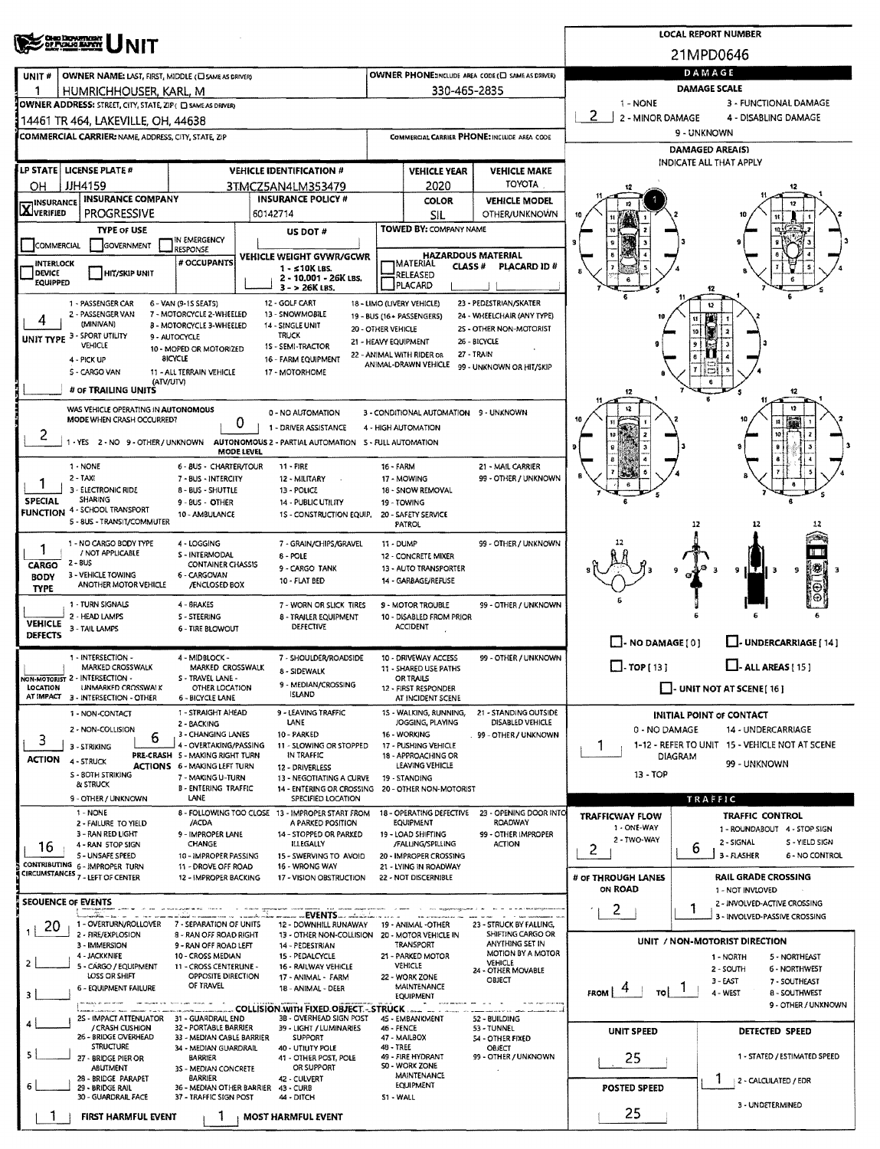|                                                                                                                                                                                         |                      |                                                         |                                                      |                            | <b>LOCAL REPORT NUMBER</b>                                         |
|-----------------------------------------------------------------------------------------------------------------------------------------------------------------------------------------|----------------------|---------------------------------------------------------|------------------------------------------------------|----------------------------|--------------------------------------------------------------------|
| <b>CHE DOWNTOOK</b>                                                                                                                                                                     |                      |                                                         |                                                      |                            | 21MPD0646                                                          |
| OWNER NAME: LAST, FIRST, MIDDLE ( L SAME AS DRIVER)<br>UNIT#                                                                                                                            |                      |                                                         | OWNER PHONE:INCLUDE AREA CODE (E) SAME AS DRIVER)    |                            | DAMAGE                                                             |
| HUMRICHHOUSER, KARL, M                                                                                                                                                                  |                      | 330-465-2835                                            |                                                      | 1 - NONE                   | <b>DAMAGE SCALE</b><br>3 - FUNCTIONAL DAMAGE                       |
| OWNER ADDRESS: STREET, CITY, STATE, ZIP ( E) SAME AS DRIVERY<br>14461 TR 464, LAKEVILLE, OH, 44638                                                                                      |                      |                                                         |                                                      | 2<br>2 - MINOR DAMAGE      | 4 - DISABLING DAMAGE                                               |
| COMMERCIAL CARRIER: NAME, ADDRESS, CITY, STATE, ZIP                                                                                                                                     |                      |                                                         | COMMERCIAL CARRIER PHONE: INCLUDE AREA CODE          |                            | 9 - UNKNOWN                                                        |
|                                                                                                                                                                                         |                      |                                                         |                                                      |                            | DAMAGED AREA(S)                                                    |
| LP STATE   LICENSE PLATE #<br><b>VEHICLE IDENTIFICATION #</b>                                                                                                                           |                      | <b>VEHICLE YEAR</b>                                     | <b>VEHICLE MAKE</b>                                  |                            | INDICATE ALL THAT APPLY                                            |
| JJH4159<br>OН<br>3TMCZ5AN4LM353479<br><b>INSURANCE COMPANY</b><br><b>INSURANCE POLICY #</b>                                                                                             |                      | 2020<br><b>COLOR</b>                                    | <b>TOYOTA</b><br><b>VEHICLE MODEL</b>                |                            |                                                                    |
| <b>INSURANCE</b><br>XVERIFIED<br><b>PROGRESSIVE</b><br>60142714                                                                                                                         |                      | <b>SIL</b>                                              | <b>OTHER/UNKNOWN</b>                                 |                            |                                                                    |
| <b>TYPE OF USE</b><br>US DOT #                                                                                                                                                          |                      | TOWED BY: COMPANY NAME                                  |                                                      |                            |                                                                    |
| IN EMERGENCY<br>GOVERNMENT<br>COMMERCIAL<br>ESPONSE<br><b>VEHICLE WEIGHT GVWR/GCWR</b>                                                                                                  |                      |                                                         | <b>HAZARDOUS MATERIAL</b>                            |                            |                                                                    |
| # OCCUPANTS<br><b>INTERLOCK</b><br>$1 - 10K$ LBS.<br><b>DEVICE</b><br><b>HIT/SKIP UNIT</b>                                                                                              |                      | <b>TMATERIAL</b><br><b>CLASS#</b><br>RELEASED           | PLACARD ID#                                          |                            |                                                                    |
| 2 - 10.001 - 26K LBS.<br><b>EQUIPPED</b><br>$3 - 26K$ LBS.                                                                                                                              |                      | PLACARD                                                 |                                                      |                            | 6                                                                  |
| 12 - GOLF CART<br>1 - PASSENGER CAR<br>6 - VAN (9-15 SEATS)<br>2 - PASSENGER VAN<br>7 - MOTORCYCLE 2-WHEELED<br>13 - SNOWMOBILE                                                         |                      | 18 - LIMO (LIVERY VEHICLE)<br>19 - BUS (16+ PASSENGERS) | 23 - PEDESTRIAN/SKATER<br>24 - WHEELCHAIR (ANY TYPE) |                            | u                                                                  |
| 4<br>(MINIVAN)<br><b>B - MOTORCYCLE 3-WHEELED</b><br>14 - SINGLE UNIT<br><b>TRUCK</b>                                                                                                   | 20 - OTHER VEHICLE   |                                                         | 25 - OTHER NON-MOTORIST                              |                            | 10                                                                 |
| UNIT TYPE 3 - SPORT UTILITY<br>9 - AUTOCYCLE<br>VEHICLE<br>15 - SEMI-TRACTOR<br>10 - MOPED OR MOTORIZED                                                                                 | 21 - HEAVY EQUIPMENT | 22 - ANIMAL WITH RIDER OR                               | 26 - BICYCLE<br>27 - TRAIN                           |                            | 9                                                                  |
| 4 - PICK UP<br><b>SICYCLE</b><br>16 - FARM EQUIPMENT<br>S - CARGO VAN<br>11 - ALL TERRAIN VEHICLE<br>17 - MOTORHOME                                                                     |                      | ANIMAL-DRAWN VEHICLE                                    | 99 - UNKNOWN OR HIT/SKIP                             |                            |                                                                    |
| (ATV/UTV)<br># of TRAILING UNITS                                                                                                                                                        |                      |                                                         |                                                      |                            | 12                                                                 |
| WAS VEHICLE OPERATING IN AUTONOMOUS<br>0 - NO AUTOMATION                                                                                                                                |                      | 3 - CONDITIONAL AUTOMATION 9 - UNKNOWN                  |                                                      |                            |                                                                    |
| MODE WHEN CRASH OCCURRED?<br>0<br>1 - DRIVER ASSISTANCE                                                                                                                                 |                      | 4 - HIGH AUTOMATION                                     |                                                      |                            |                                                                    |
| 2<br>1 - YES 2 - NO 9 - OTHER / UNKNOWN<br>AUTONOMOUS 2 - PARTIAL AUTOMATION 5 - FULL AUTOMATION<br><b>MODE LEVEL</b>                                                                   |                      |                                                         |                                                      |                            |                                                                    |
| 1 - NONE<br>6 - BUS - CHARTER/TOUR<br><b>11 - FIRE</b>                                                                                                                                  | 16 - FARM            |                                                         | 21 - MAIL CARRIER                                    |                            |                                                                    |
| 2 - TAXI<br>7 - BUS - INTERCITY<br>12 - MILITARY<br>3 - ELECTRONIC RIDE<br>8 - BUS - SHUTTLE<br>13 - POLICE                                                                             |                      | 17 - MOWING<br>18 - SNOW REMOVAL                        | 99 - OTHER / UNKNOWN                                 |                            |                                                                    |
| SHARING<br><b>SPECIAL</b><br>9 - BUS - OTHER<br>14 - PUBLIC UTILITY                                                                                                                     |                      | 19 - TOWING                                             |                                                      |                            |                                                                    |
| <b>FUNCTION 4 - SCHOOL TRANSPORT</b><br>10 - AMBULANCE<br>1S - CONSTRUCTION EQUIP,<br>5 - 8US - TRANSIT/COMMUTER                                                                        |                      | 20 - SAFETY SERVICE<br>PATROL                           |                                                      |                            | 12<br>12                                                           |
| 1 - NO CARGO BODY TYPE<br>4 - LOGGING<br>7 - GRAIN/CHIPS/GRAVEL                                                                                                                         | 11 - DUMP            |                                                         | 99 - OTHER / UNKNOWN                                 |                            |                                                                    |
| 1<br>/ NOT APPLICABLE<br>S - INTERMODAL<br>8 - POLE<br>$2 - BUS$<br>CARGO<br><b>CONTAINER CHASSIS</b>                                                                                   |                      | 12 - CONCRETE MIXER                                     |                                                      |                            | ΠT                                                                 |
| 9 - CARGO TANK<br>3 - VEHICLE TOWING<br>6 - CARGOVAN<br><b>BODY</b><br>10 - FLAT BED<br>ANOTHER MOTOR VEHICLE<br><b>/ENCLOSED BOX</b>                                                   |                      | 13 - AUTO TRANSPORTER<br>14 - GARBAGE/REFUSE            |                                                      |                            | 18<br>9<br>з<br>9<br>-3<br>з                                       |
| <b>TYPE</b><br>1 - TURN SIGNALS<br>4 - BRAKES<br>7 - WORN OR SLICK TIRES                                                                                                                |                      | 9 - MOTOR TROUBLE                                       | 99 - OTHER / UNKNOWN                                 |                            |                                                                    |
| 2 - HEAD LAMPS<br>S - STEERING<br>8 - TRAILER EQUIPMENT<br><b>VEHICLE</b>                                                                                                               |                      | 10 - DISABLED FROM PRIOR                                |                                                      |                            |                                                                    |
| DEFECTIVE<br>3 - TAIL LAMPS<br><b>6 - TIRE BLOWOUT</b><br><b>DEFECTS</b>                                                                                                                |                      | <b>ACCIDENT</b>                                         |                                                      | $\Box$ - NO DAMAGE [ 0 ]   | UNDERCARRIAGE [ 14 ]                                               |
| 1 - INTERSECTION -<br>4 - MIDBLOCK -<br>7 - SHOULDER/ROADSIDE                                                                                                                           |                      | 10 - DRIVEWAY ACCESS                                    | 99 - OTHER / UNKNOWN                                 |                            |                                                                    |
| MARKED CROSSWALK<br>MARKED CROSSWALK<br>8 - SIDEWALK<br>NON-MOTORIST 2 - INTERSECTION -<br>S - TRAVEL LANE -                                                                            |                      | 11 - SHARED USE PATHS<br><b>OR TRAILS</b>               |                                                      | $\Box$ -TOP [13]           | $\Box$ - ALL AREAS [ 15 ]                                          |
| 9 - MEDIAN/CROSSING<br><b>LOCATION</b><br>UNMARKED CROSSWALK<br>OTHER LOCATION<br><b>ISLAND</b><br>AT IMPACT 3 - INTERSECTION - OTHER<br><b>6 - BICYCLE LANE</b>                        |                      | 12 - FIRST RESPONDER<br>AT INCIDENT SCENE               |                                                      |                            | $\Box$ - UNIT NOT AT SCENE [16]                                    |
| 9 - LEAVING TRAFFIC<br>1 - STRAIGHT AHEAD<br>1 - NON-CONTACT<br>LANE<br>2 - BACKING                                                                                                     |                      | 15 - WALKING, RUNNING,<br>JOGGING, PLAYING              | 21 - STANDING OUTSIDE<br>DISABLED VEHICLE            |                            | <b>INITIAL POINT OF CONTACT</b>                                    |
| 2 - NON-COLLISION<br>10 - PARKED<br>3 - CHANGING LANES<br>6<br>3                                                                                                                        |                      | 16 - WORKING                                            | 99 - OTHER / UNKNOWN                                 | 0 - NO DAMAGE              | 14 - UNDERCARRIAGE                                                 |
| 4 - OVERTAKING/PASSING<br>11 - SLOWING OR STOPPED<br>3 - STRIKING<br>PRE-CRASH 5 - MAKING RIGHT TURN<br>IN TRAFFIC<br><b>ACTION</b><br>4 - STRUCK                                       |                      | 17 - PUSHING VEHICLE<br>18 - APPROACHING OR             |                                                      | T.<br><b>DIAGRAM</b>       | 1-12 - REFER TO UNIT 15 - VEHICLE NOT AT SCENE                     |
| <b>ACTIONS 6 - MAKING LEFT TURN</b><br>12 - DRIVERLESS<br>S - BOTH STRIKING<br>7 - MAKING U-TURN<br>13 - NEGOTIATING A CURVE                                                            |                      | LEAVING VEHICLE<br>19 - STANDING                        |                                                      | $13 - TOP$                 | 99 - UNKNOWN                                                       |
| <b>&amp; STRUCK</b><br><b>B - ENTERING TRAFFIC</b><br>14 - ENTERING OR CROSSING<br>LANE<br>9 - OTHER / UNKNOWN<br>SPECIFIED LOCATION                                                    |                      | 20 - OTHER NON-MOTORIST                                 |                                                      |                            | TRAFFIC                                                            |
| 8 - FOLLOWING TOO CLOSE 13 - IMPROPER START FROM<br>1 - NONE                                                                                                                            |                      | 18 - OPERATING DEFECTIVE                                | 23 - OPENING DOOR INTO                               | TRAFFICWAY FLOW            | TRAFFIC CONTROL                                                    |
| /ACDA<br>A PARKED POSITION<br>2 - FAILURE TO YIELD<br>3 - RAN RED LIGHT<br>9 - IMPROPER LANE<br>14 - STOPPED OR PARKED                                                                  |                      | <b>EQUIPMENT</b><br>19 - LOAD SHIFTING                  | <b>ROADWAY</b><br>99 - OTHER IMPROPER                | 1 - ONE-WAY<br>2 - TWO-WAY | 1 - ROUNDABOUT 4 - STOP SIGN                                       |
| CHANGE<br><b>ILLEGALLY</b><br>4 - RAN STOP SIGN<br>16<br>5 - UNSAFE SPEED<br>10 - IMPROPER PASSING<br>15 - SWERVING TO AVOID                                                            |                      | /FALLING/SPILLING<br>20 - IMPROPER CROSSING             | <b>ACTION</b>                                        | 2                          | 2 - SIGNAL<br>S - YIELD SIGN<br>6<br>3 - FLASHER<br>6 - NO CONTROL |
| CONTRIBUTING 6 - IMPROPER TURN<br>16 - WRONG WAY<br>11 - DROVE OFF ROAD<br>CIRCUMSTANCES 7 - LEFT OF CENTER<br>12 - IMPROPER BACKING<br>17 - VISION OBSTRUCTION                         |                      | 21 - LYING IN ROADWAY<br>22 - NOT DISCERNIBLE           |                                                      | # or THROUGH LANES         | RAIL GRADE CROSSING                                                |
|                                                                                                                                                                                         |                      |                                                         |                                                      | ON ROAD                    | 1 - NOT INVLOVED                                                   |
| <b>SEQUENCE OF EVENTS</b><br>.<br>1999 - Paris Marie II, mars and a family for the form of the second state of the form of the Second Second Se<br>ششت بـ EVENTS.                       |                      |                                                         |                                                      | $\mathbf{2}$               | 2 - INVOLVED-ACTIVE CROSSING<br>3 - INVOLVED-PASSIVE CROSSING      |
| 1 - OVERTURN/ROLLOVER<br>7 - SEPARATION OF UNITS<br>12 - DOWNHILL RUNAWAY<br>20<br>11<br>2 - FIRE/EXPLOSION<br>13 - OTHER NON-COLLISION 20 - MOTOR VEHICLE IN<br>8 - RAN OFF ROAD RIGHT |                      | 19 - ANIMAL -OTHER                                      | 23 - STRUCK BY FALLING,<br>SHIFTING CARGO OR         |                            |                                                                    |
| 3 - IMMERSION<br>9 - RAN OFF ROAD LEFT<br>14 - PEDESTRIAN<br>4 - JACKKNIFE<br>10 - CROSS MEDIAN<br>15 - PEDALCYCLE                                                                      |                      | TRANSPORT<br>21 - PARKED MOTOR                          | ANYTHING SET IN<br>MOTION BY A MOTOR                 |                            | UNIT / NON-MOTORIST DIRECTION<br>1 - NORTH<br>5 - NORTHEAST        |
| 2<br>5 - CARGO / EQUIPMENT<br>11 - CROSS CENTERLINE -<br>16 - RAILWAY VEHICLE<br>LOSS OR SHIFT<br>OPPOSITE DIRECTION                                                                    |                      | VEHICLE<br>22 - WORK ZONE                               | <b>VEHICLE</b><br>24 - OTHER MOVABLE                 |                            | 2 - SOUTH<br>6 - NORTHWEST                                         |
| 17 - ANIMAL - FARM<br>OF TRAVEL<br>6 - EQUIPMENT FAILURE<br>18 - ANIMAL - DEER<br>3                                                                                                     |                      | MAINTENANCE<br><b>EQUIPMENT</b>                         | OBJECT                                               | $FROM$ $4$<br>τoΙ          | 3 - EAST<br>7 - SOUTHEAST<br>4 - WEST<br>8 - SOUTHWEST             |
| . COLLISION.WITH FIXED.OBJECT. - STRUCK .                                                                                                                                               |                      |                                                         |                                                      |                            | 9 - OTHER / UNKNOWN                                                |
| 3B - OVERHEAD SIGN POST<br>25 - IMPACT ATTENUATOR 31 - GUARDRAIL END<br>/ CRASH CUSHION<br>32 - PORTABLE BARRIER<br>39 - LIGHT / LUMINARIES                                             | <b>46 - FENCE</b>    | 45 - EMBANKMENT                                         | 52 - BUILDING<br>53 - TUNNEL                         | UNIT SPEED                 | DETECTED SPEED                                                     |
| 26 - BRIDGE OVERHEAD<br>33 - MEDIAN CABLE BARRIER<br><b>SUPPORT</b><br><b>STRUCTURE</b><br>34 - MEDIAN GUARDRAIL<br>40 - UTIUTY POLE                                                    | 48 - TREE            | 47 - MAILBOX                                            | 54 - OTHER FIXED<br>OBJECT                           |                            |                                                                    |
| 5<br>BARRIER<br>27 - BRIDGE PIER OR<br>41 - OTHER POST, POLE<br>OR SUPPORT<br><b>ABUTMENT</b><br>3S - MEDIAN CONCRETE                                                                   |                      | 49 - FIRE HYDRANT<br>SO - WORK ZONE                     | 99 - OTHER / UNKNOWN                                 | 25                         | 1 - STATED / ESTIMATED SPEED                                       |
| 28 - BRIDGE PARAPET<br><b>BARRIER</b><br>42 - CULVERT<br>6<br>36 - MEDIAN OTHER BARRIER 43 - CURB<br>29 - BRIDGE RAIL                                                                   |                      | MAINTENANCE<br>EQUIPMENT                                |                                                      | <b>POSTED SPEED</b>        | 1<br>2 - CALCULATED / EDR                                          |
| 30 - GUARDRAIL FACE<br>37 - TRAFFIC SIGN POST<br>44 - DITCH                                                                                                                             | S1 - WALL            |                                                         |                                                      |                            | 3 - UNDETERMINED                                                   |
| FIRST HARMFUL EVENT<br>MOST HARMFUL EVENT                                                                                                                                               |                      |                                                         |                                                      | 25                         |                                                                    |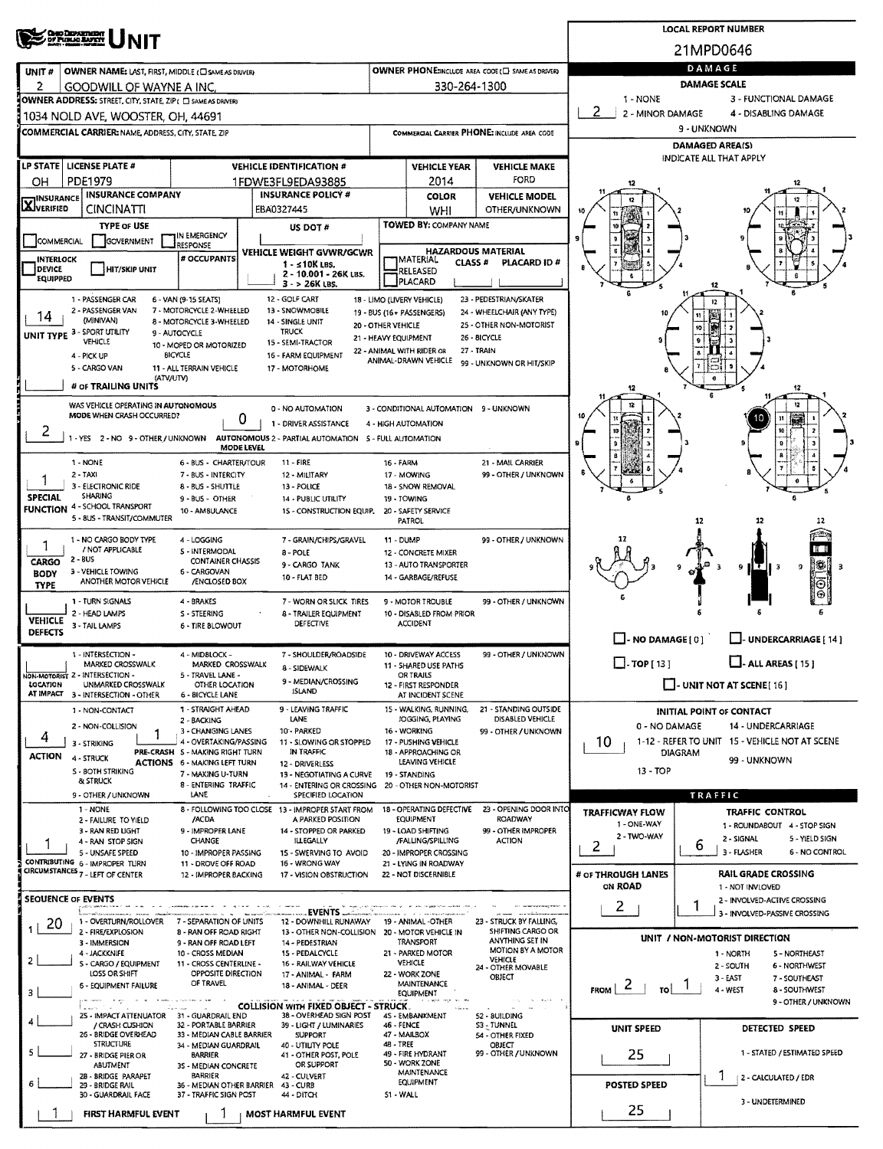|                                  | <b>CHO DEPARTMENT</b><br>OF PUBLIC BAFETY                                      |                                                                        |                   |                                                                                |                    |                                                   |                                                       |                             |         | <b>LOCAL REPORT NUMBER</b>                                      |
|----------------------------------|--------------------------------------------------------------------------------|------------------------------------------------------------------------|-------------------|--------------------------------------------------------------------------------|--------------------|---------------------------------------------------|-------------------------------------------------------|-----------------------------|---------|-----------------------------------------------------------------|
|                                  |                                                                                |                                                                        |                   |                                                                                |                    |                                                   |                                                       |                             |         | 21MPD0646                                                       |
| UNIT#                            | OWNER NAME: LAST, FIRST, MIDDLE (C) SAME AS DRIVERY                            |                                                                        |                   |                                                                                |                    |                                                   | OWNER PHONE:INCLUDE AREA CODE (E) SAME AS DRIVER)     |                             |         | DAMAGE                                                          |
| 2                                | GOODWILL OF WAYNE A INC.                                                       |                                                                        |                   |                                                                                |                    | 330-264-1300                                      |                                                       |                             |         | <b>DAMAGE SCALE</b>                                             |
|                                  | OWNER ADDRESS: STREET, CITY, STATE, ZIP ( C) SAME AS DRIVERI                   |                                                                        |                   |                                                                                |                    |                                                   |                                                       | 1 - NONE<br>2               |         | 3 - FUNCTIONAL DAMAGE                                           |
|                                  | 1034 NOLD AVE, WOOSTER, OH, 44691                                              |                                                                        |                   |                                                                                |                    |                                                   |                                                       | 2 - MINOR DAMAGE            |         | 4 - DISABLING DAMAGE<br>9 - UNKNOWN                             |
|                                  | <b>COMMERCIAL CARRIER: NAME, ADDRESS, CITY, STATE, ZIP</b>                     |                                                                        |                   |                                                                                |                    |                                                   | COMMERCIAL CARRIER PHONE: INCLUDE AREA CODE           |                             |         | <b>DAMAGED AREA(S)</b>                                          |
|                                  | LP STATE   LICENSE PLATE #                                                     |                                                                        |                   | <b>VEHICLE IDENTIFICATION #</b>                                                |                    | <b>VEHICLE YEAR</b>                               | <b>VEHICLE MAKE</b>                                   |                             |         | INDICATE ALL THAT APPLY                                         |
| OH                               | PDE1979                                                                        |                                                                        |                   | 1FDWE3FL9EDA93885                                                              |                    | 2014                                              | <b>FORD</b>                                           | 12                          |         |                                                                 |
| <b>TINSURANCE</b>                | <b>INSURANCE COMPANY</b>                                                       |                                                                        |                   | <b>INSURANCE POLICY #</b>                                                      |                    | <b>COLOR</b>                                      | <b>VEHICLE MODEL</b>                                  | 12                          |         |                                                                 |
| <b>X</b> VERIFIED                | CINCINATTI                                                                     |                                                                        |                   | EBA0327445                                                                     |                    | WHI                                               | <b>OTHER/UNKNOWN</b>                                  |                             |         |                                                                 |
|                                  | <b>TYPE OF USE</b>                                                             | IN EMERGENCY                                                           |                   | US DOT #                                                                       |                    | TOWED BY: COMPANY NAME                            |                                                       |                             |         |                                                                 |
| COMMERCIAL                       | GOVERNMENT                                                                     | <b>RESPONSE</b>                                                        |                   | VEHICLE WEIGHT GVWR/GCWR                                                       |                    |                                                   | <b>HAZARDOUS MATERIAL</b>                             |                             |         |                                                                 |
| INTERLOCK<br><b>DEVICE</b>       | HIT/SKIP UNIT                                                                  | # OCCUPANTS                                                            |                   | $1 - 10K$ LBS.<br>2 - 10.001 - 26K LBS.                                        |                    | <b>IMATERIAL</b><br><b>CLASS #</b><br>RELEASED    | PLACARD ID#                                           |                             |         |                                                                 |
| <b>EQUIPPED</b>                  |                                                                                |                                                                        |                   | $3 - 26K$ LBS.                                                                 |                    | PLACARD                                           |                                                       |                             |         | 12                                                              |
|                                  | 1 - PASSENGER CAR<br>2 - PASSENGER VAN                                         | 6 - VAN (9-15 SEATS)<br>7 - MOTORCYCLE 2-WHEELED                       |                   | 12 - GOLF CART<br>13 - SNOWMOBILE                                              |                    | 18 - LIMO (LIVERY VEHICLE)                        | 23 - PEDESTRIAN/SKATER                                |                             |         |                                                                 |
| 14                               | (MINIVAN)                                                                      | 8 - MOTORCYCLE 3-WHEELED                                               |                   | 14 - SINGLE UNIT                                                               | 20 - OTHER VEHICLE | 19 - BUS (16+ PASSENGERS)                         | 24 - WHEELCHAIR (ANY TYPE)<br>25 - OTHER NON-MOTORIST |                             |         |                                                                 |
|                                  | UNIT TYPE 3 - SPORT UTILITY<br>VEHICLE                                         | 9 - AUTOCYCLE<br>10 - MOPED OR MOTORIZED                               |                   | <b>TRUCK</b><br>15 - SEMI-TRACTOR                                              |                    | 21 - HEAVY EQUIPMENT                              | 26 - BICYCLE                                          |                             |         |                                                                 |
|                                  | 4 - PICK UP                                                                    | <b>BICYCLE</b>                                                         |                   | 16 - FARM EQUIPMENT                                                            |                    | 22 - ANIMAL WITH RIDER OR<br>ANIMAL-DRAWN VEHICLE | 27 - TRAIN<br>99 - UNKNOWN OR HIT/SKIP                |                             |         |                                                                 |
|                                  | 5 - CARGO VAN<br>(ATV/UTV)                                                     | 11 - ALL TERRAIN VEHICLE                                               |                   | 17 - MOTORHOME                                                                 |                    |                                                   |                                                       |                             |         |                                                                 |
|                                  | # OF TRAILING UNITS                                                            |                                                                        |                   |                                                                                |                    |                                                   |                                                       | 12                          |         | 12                                                              |
|                                  | WAS VEHICLE OPERATING IN AUTONOMOUS<br>MODE WHEN CRASH OCCURRED?               |                                                                        | 0                 | 0 - NO AUTOMATION                                                              |                    | 3 - CONDITIONAL AUTOMATION 9 - UNKNOWN            |                                                       | 12                          |         | 12                                                              |
| 2                                | 1 - YES 2 - NO 9 - OTHER / UNKNOWN                                             |                                                                        |                   | 1 - DRIVER ASSISTANCE<br>AUTONOMOUS 2 - PARTIAL AUTOMATION 5 - FULL AUTOMATION |                    | 4 - HIGH AUTOMATION                               |                                                       |                             |         |                                                                 |
|                                  |                                                                                |                                                                        | <b>MODE LEVEL</b> |                                                                                |                    |                                                   |                                                       |                             |         |                                                                 |
|                                  | 1 - NONE<br>$2 - TAXI$                                                         | 6 - BUS - CHARTER/TOUR<br>7 - BUS - INTERCITY                          |                   | $11 - FIRE$<br>12 - MILITARY                                                   | 16 FARM            | 17 - MOWING                                       | 21 - MAIL CARRIER<br>99 - OTHER / UNKNOWN             |                             |         |                                                                 |
|                                  | 3 - ELECTRONIC RIDE                                                            | 8 - BUS - SHUTTLE                                                      |                   | 13 - POLICE                                                                    |                    | 18 - SNOW REMOVAL                                 |                                                       |                             |         |                                                                 |
| <b>SPECIAL</b>                   | <b>SHARING</b><br><b>FUNCTION 4 - SCHOOL TRANSPORT</b>                         | 9 - BUS - OTHER<br>10 - AMBULANCE                                      |                   | 14 - PUBLIC UTILITY<br>15 - CONSTRUCTION EQUIP.                                |                    | 19 - TOWING<br>20 - SAFETY SERVICE                |                                                       |                             |         |                                                                 |
|                                  | 5 - 8US - TRANSIT/COMMUTER                                                     |                                                                        |                   |                                                                                |                    | PATROL                                            |                                                       |                             | 12      | 12                                                              |
|                                  | 1 - NO CARGO BODY TYPE                                                         | 4 - LOGGING                                                            |                   | 7 - GRAIN/CHIPS/GRAVEL                                                         | 11 - DUMP          |                                                   | 99 - OTHER / UNKNOWN                                  |                             |         |                                                                 |
| CARGO                            | / NOT APPLICABLE<br>$2 - 8US$                                                  | <b>S-INTERMODAL</b><br><b>CONTAINER CHASSIS</b>                        |                   | 8 - POLE<br>9 - CARGO TANK                                                     |                    | 12 - CONCRETE MIXER<br>13 - AUTO TRANSPORTER      |                                                       |                             |         | TГ<br>签                                                         |
| <b>BODY</b>                      | 3 - VEHICLE TOWING<br>ANOTHER MOTOR VEHICLE                                    | 6 - CARGOVAN<br>/ENCLOSED BOX                                          |                   | 10 - FLAT BED                                                                  |                    | 14 - GARBAGE/REFUSE                               |                                                       |                             |         | IŦ<br>9<br>9 H<br>- 3                                           |
| <b>TYPE</b>                      | 1 - TURN SIGNALS                                                               | 4 - BRAKES                                                             |                   | 7 - WORN OR SLICK TIRES                                                        |                    | 9 - MOTOR TROUBLE                                 | 99 - OTHER / UNKNOWN                                  |                             |         |                                                                 |
|                                  | 2 - HEAD LAMPS                                                                 | S - STEERING                                                           |                   | 8 - TRAILER EQUIPMENT                                                          |                    | 10 - DISABLED FROM PRIOR                          |                                                       |                             |         |                                                                 |
| <b>VEHICLE</b><br><b>DEFECTS</b> | 3 - TAIL LAMPS                                                                 | <b>6 - TIRE BLOWOUT</b>                                                |                   | <b>DEFECTIVE</b>                                                               |                    | <b>ACCIDENT</b>                                   |                                                       |                             |         | UNDERCARRIAGE [14]                                              |
|                                  | 1 - INTERSECTION -                                                             | 4 - MIDBLOCK -                                                         |                   | 7 - SHOULDER/ROADSIDE                                                          |                    | 10 - DRIVEWAY ACCESS                              | 99 - OTHER / UNKNOWN                                  | $\Box$ - NO DAMAGE [ 0 ]    |         |                                                                 |
|                                  | MARKED CROSSWALK<br>NON-MOTORIST 2 - INTERSECTION -                            | MARKED CROSSWALK                                                       |                   | 8 - SIDEWALK                                                                   |                    | 11 - SHARED USE PATHS                             |                                                       | $\Box$ -TOP[13]             |         | $\Box$ - ALL AREAS [ 15 ]                                       |
| LOCATION                         | UNMARKED CROSSWALK                                                             | 5 - TRAVEL LANE -<br>OTHER LOCATION                                    |                   | 9 - MEDIAN/CROSSING<br><b>ISLAND</b>                                           |                    | OR TRAILS<br>12 - FIRST RESPONDER                 |                                                       |                             |         | $\Box$ - UNIT NOT AT SCENE[16]                                  |
|                                  | AT IMPACT 3 - INTERSECTION - OTHER<br>1 - NON-CONTACT                          | <b>6 - BICYCLE LANE</b><br>1 - STRAIGHT AHEAD                          |                   | 9 - LEAVING TRAFFIC                                                            |                    | AT INCIDENT SCENE<br>15 - WALKING, RUNNING,       | 21 - STANDING OUTSIDE                                 |                             |         | INITIAL POINT OF CONTACT                                        |
|                                  | 2 - NON-COLLISION                                                              | 2 - BACKING                                                            |                   | LANE                                                                           |                    | JOGGING, PLAYING                                  | DISABLED VEHICLE                                      | 0 - NO DAMAGE               |         | <b>14 - UNDERCARRIAGE</b>                                       |
| 4                                | 1<br>3 - STRIKING                                                              | 3 - CHANGING LANES<br>4 - OVERTAKING/PASSING                           |                   | 10 - PARKED<br>11 - SLOWING OR STOPPED                                         |                    | 16 - WORKING<br>17 - PUSHING VEHICLE              | 99 - OTHER / UNKNOWN                                  | 10                          |         | 1-12 - REFER TO UNIT 15 - VEHICLE NOT AT SCENE                  |
| <b>ACTION</b>                    | 4 - STRUCK                                                                     | PRE-CRASH 5 - MAKING RIGHT TURN<br><b>ACTIONS 6 - MAKING LEFT TURN</b> |                   | IN TRAFFIC<br>12 - DRIVERLESS                                                  |                    | 18 - APPROACHING OR<br>LEAVING VEHICLE            |                                                       |                             | DIAGRAM | 99 - UNKNOWN                                                    |
|                                  | <b>5 - BOTH STRIKING</b><br>& STRUCK                                           | 7 - MAKING U-TURN<br>8 - ENTERING TRAFFIC                              |                   | 13 - NEGOTIATING A CURVE                                                       |                    | 19 - STANDING                                     |                                                       | 13 - TOP                    |         |                                                                 |
|                                  | 9 - OTHER / UNKNOWN                                                            | LANE                                                                   |                   | 14 - ENTERING OR CROSSING<br>SPECIFIED LOCATION                                |                    | 20 - OTHER NON-MOTORIST                           |                                                       |                             |         | TRAFFIC                                                         |
|                                  | 1 - NONE<br>2 - FAILURE TO YIELD                                               | /ACDA                                                                  |                   | 8 - FOLLOWING TOO CLOSE 13 - IMPROPER START FROM<br>A PARKED POSITION          |                    | 18 - OPERATING DEFECTIVE<br>EQUIPMENT             | 23 - OPENING DOOR INTO<br>ROADWAY                     | TRAFFICWAY FLOW             |         | <b>TRAFFIC CONTROL</b>                                          |
|                                  | 3 - RAN RED LIGHT                                                              | 9 - IMPROPER LANE<br>CHANGE                                            |                   | 14 - STOPPED OR PARKED<br><b>ILLEGALLY</b>                                     |                    | 19 - LOAD SHIFTING<br>/FALUNG/SPILLING            | 99 - OTHER IMPROPER<br><b>ACTION</b>                  | 1 - ONE-WAY<br>2 - TWO-WAY  |         | 1 - ROUNDABOUT 4 - STOP SIGN<br>2 - SIGNAL<br>5 - YIELD SIGN    |
|                                  | 4 - RAN STOP SIGN<br>5 - UNSAFE SPEED                                          | 10 - IMPROPER PASSING                                                  |                   | 15 - SWERVING TO AVOID                                                         |                    | 20 - IMPROPER CROSSING                            |                                                       | 2                           | b       | 3 - FLASHER<br>6 - NO CONTROL                                   |
|                                  | CONTRIBUTING 6 - IMPROPER TLIRN<br>CIRCUMSTANCES <sub>7</sub> - LEFT OF CENTER | 11 - DROVE OFF ROAD<br>12 - IMPROPER BACKING                           |                   | 16 - WRONG WAY<br>17 - VISION OBSTRUCTION                                      |                    | 21 - LYING IN ROADWAY<br>22 - NOT DISCERNIBLE     |                                                       | # OF THROUGH LANES          |         | <b>RAIL GRADE CROSSING</b>                                      |
|                                  |                                                                                |                                                                        |                   |                                                                                |                    |                                                   |                                                       | ON ROAD                     |         | 1 - NOT INVLOVED                                                |
|                                  | <b>SEQUENCE OF EVENTS</b>                                                      |                                                                        |                   | EVENTS                                                                         |                    |                                                   |                                                       | 2                           |         | 2 - INVOLVED-ACTIVE CROSSING                                    |
| 20                               | 1 - OVERTURN/ROLLOVER                                                          | 7 - SEPARATION OF UNITS                                                |                   | 12 - DOWNHILL RUNAWAY                                                          |                    | 19 - ANIMAL -OTHER                                | 23 - STRUCK BY FALLING,<br>SHIFTING CARGO OR          |                             |         | 3 - INVOLVED-PASSIVE CROSSING                                   |
|                                  | 2 - FIRE/EXPLOSION<br>3 - IMMERSION                                            | 8 - RAN OFF ROAD RIGHT<br>9 - RAN OFF ROAD LEFT                        |                   | 13 - OTHER NON-COLLISION 20 - MOTOR VEHICLE IN<br>14 - PEDESTRIAN              |                    | TRANSPORT                                         | ANYTHING SET IN                                       |                             |         | UNIT / NON-MOTORIST DIRECTION                                   |
| $\mathbf{2}$                     | 4 - JACKKNIFE<br>5 - CARGO / EQUIPMENT                                         | 10 - CROSS MEDIAN<br>11 - CROSS CENTERLINE -                           |                   | 15 - PEDALCYCLE<br>16 - RAILWAY VEHICLE                                        |                    | 21 - PARKED MOTOR<br><b>VEHICLE</b>               | <b>MOTION BY A MOTOR</b><br><b>VEHICLE</b>            |                             |         | 1 - NORTH<br>5 - NORTHEAST<br>2 - SOUTH<br><b>6 - NORTHWEST</b> |
|                                  | LOSS OR SHIFT                                                                  | OPPOSITE DIRECTION<br>OF TRAVEL                                        |                   | 17 - ANIMAL - FARM                                                             |                    | 22 - WORK ZONE<br><b>MAINTENANCE</b>              | 24 - OTHER MOVABLE<br>OBJECT                          |                             |         | 3 - EAST<br>7 - SOUTHEAST                                       |
| 3                                | 6 - EQUIPMENT FAILURE                                                          |                                                                        |                   | 18 - ANIMAL - DEER                                                             |                    | EQUIPMENT                                         |                                                       | $\mathbf{z}$<br><b>FROM</b> |         | 4 - WEST<br>8 - SOUTHWEST<br>9 - OTHER / UNKNOWN                |
|                                  | alastic College<br>25 - IMPACT ATTENUATOR 31 - GUARDRAIL END                   | <b>Carriedo</b>                                                        |                   | <b>COLLISION WITH FIXED OBJECT - STRUCK.</b><br>38 - OVERHEAD SIGN POST        |                    | 4S - EMBANKMENT                                   | 52 - BUILDING                                         |                             |         |                                                                 |
|                                  | / CRASH CUSHION<br>26 - BRIDGE OVERHEAD                                        | 32 - PORTABLE BARRIER<br>33 - MEDIAN CABLE BARRIER                     |                   | 39 - LIGHT / LUMINARIES<br><b>SUPPORT</b>                                      | 46 - FENCE         | 47 - MAILBOX                                      | S3 - TUNNEL<br>54 - OTHER FIXED                       | UNIT SPEED                  |         | DETECTED SPEED                                                  |
| 5                                | <b>STRUCTURE</b><br>27 - BRIDGE PIER OR                                        | 34 - MEDIAN GUARDRAIL<br>BARRIER                                       |                   | 40 - UTILITY POLE<br>41 - OTHER POST, POLE                                     | 48 - TREE          | 49 - FIRE HYDRANT                                 | OBJECT<br>99 - OTHER / UNKNOWN                        | 25                          |         | 1 - STATED / ESTIMATED SPEED                                    |
|                                  | ABUTMENT                                                                       | 3S - MEDIAN CONCRETE                                                   |                   | OR SUPPORT                                                                     |                    | 50 - WORK ZONE<br>MAINTENANCE                     |                                                       |                             |         |                                                                 |
| 6                                | 28 - BRIDGE PARAPET<br>29 - BRIDGE RAIL                                        | <b>BARRIER</b><br>36 - MEDIAN OTHER BARRIER                            |                   | 42 - CULVERT<br>43 - CURB                                                      |                    | EQUIPMENT                                         |                                                       | POSTED SPEED                |         | 1<br>2 - CALCULATED / EDR                                       |
|                                  | 30 - GUARDRAIL FACE                                                            | 37 - TRAFFIC SIGN POST                                                 |                   | 44 - DITCH                                                                     | S1 - WALL          |                                                   |                                                       | 25                          |         | 3 - UNDETERMINED                                                |
|                                  | <b>FIRST HARMFUL EVENT</b>                                                     |                                                                        |                   | <b>MOST HARMFUL EVENT</b>                                                      |                    |                                                   |                                                       |                             |         |                                                                 |